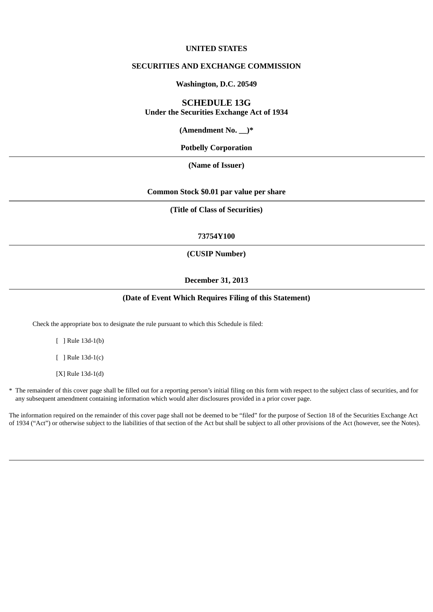## **UNITED STATES**

# **SECURITIES AND EXCHANGE COMMISSION**

# **Washington, D.C. 20549**

# **SCHEDULE 13G**

**Under the Securities Exchange Act of 1934**

**(Amendment No. \_\_)\***

**Potbelly Corporation**

**(Name of Issuer)**

**Common Stock \$0.01 par value per share**

**(Title of Class of Securities)**

### **73754Y100**

# **(CUSIP Number)**

## **December 31, 2013**

# **(Date of Event Which Requires Filing of this Statement)**

Check the appropriate box to designate the rule pursuant to which this Schedule is filed:

[ ] Rule 13d-1(b)

[ ] Rule 13d-1(c)

[X] Rule 13d-1(d)

\* The remainder of this cover page shall be filled out for a reporting person's initial filing on this form with respect to the subject class of securities, and for any subsequent amendment containing information which would alter disclosures provided in a prior cover page.

The information required on the remainder of this cover page shall not be deemed to be "filed" for the purpose of Section 18 of the Securities Exchange Act of 1934 ("Act") or otherwise subject to the liabilities of that section of the Act but shall be subject to all other provisions of the Act (however, see the Notes).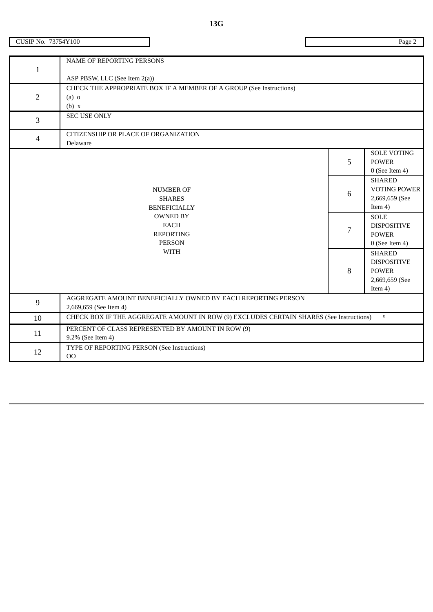| ۰, |  |
|----|--|

| $\mathbf{1}$   | NAME OF REPORTING PERSONS                                                               |                |                                   |  |
|----------------|-----------------------------------------------------------------------------------------|----------------|-----------------------------------|--|
|                | ASP PBSW, LLC (See Item 2(a))                                                           |                |                                   |  |
|                | CHECK THE APPROPRIATE BOX IF A MEMBER OF A GROUP (See Instructions)                     |                |                                   |  |
| $\overline{2}$ | $(a)$ o                                                                                 |                |                                   |  |
|                | (b) x                                                                                   |                |                                   |  |
| 3              | <b>SEC USE ONLY</b>                                                                     |                |                                   |  |
| $\overline{4}$ | CITIZENSHIP OR PLACE OF ORGANIZATION                                                    |                |                                   |  |
|                | Delaware                                                                                |                |                                   |  |
|                |                                                                                         |                | <b>SOLE VOTING</b>                |  |
|                |                                                                                         | 5              | <b>POWER</b>                      |  |
|                |                                                                                         |                | $0$ (See Item 4)<br><b>SHARED</b> |  |
|                | <b>NUMBER OF</b>                                                                        |                | <b>VOTING POWER</b>               |  |
|                | <b>SHARES</b>                                                                           | $6\phantom{1}$ | 2,669,659 (See                    |  |
|                | <b>BENEFICIALLY</b>                                                                     |                | Item 4)                           |  |
|                | <b>OWNED BY</b>                                                                         |                | <b>SOLE</b>                       |  |
|                | <b>EACH</b>                                                                             | $\overline{7}$ | <b>DISPOSITIVE</b>                |  |
|                | <b>REPORTING</b>                                                                        |                | <b>POWER</b>                      |  |
|                | <b>PERSON</b>                                                                           |                | $0$ (See Item 4)                  |  |
|                | <b>WITH</b>                                                                             |                | <b>SHARED</b>                     |  |
|                |                                                                                         | 8              | <b>DISPOSITIVE</b>                |  |
|                |                                                                                         |                | <b>POWER</b><br>2,669,659 (See    |  |
|                |                                                                                         |                | Item $4$ )                        |  |
|                | AGGREGATE AMOUNT BENEFICIALLY OWNED BY EACH REPORTING PERSON                            |                |                                   |  |
| $9\,$          | 2,669,659 (See Item 4)                                                                  |                |                                   |  |
| 10             | CHECK BOX IF THE AGGREGATE AMOUNT IN ROW (9) EXCLUDES CERTAIN SHARES (See Instructions) |                | $\mathbf 0$                       |  |
| 11             | PERCENT OF CLASS REPRESENTED BY AMOUNT IN ROW (9)                                       |                |                                   |  |
|                | 9.2% (See Item 4)                                                                       |                |                                   |  |
| 12             | TYPE OF REPORTING PERSON (See Instructions)<br>$\cap$                                   |                |                                   |  |

CUSIP No. 73754Y100

OO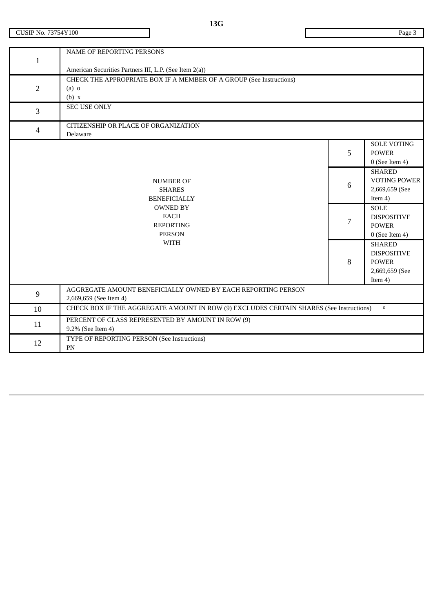| $\mathbf{1}$   | <b>NAME OF REPORTING PERSONS</b><br>American Securities Partners III, L.P. (See Item 2(a))              |                 |                                                                                     |
|----------------|---------------------------------------------------------------------------------------------------------|-----------------|-------------------------------------------------------------------------------------|
| $\overline{2}$ | CHECK THE APPROPRIATE BOX IF A MEMBER OF A GROUP (See Instructions)<br>$(a)$ o<br>(b) x                 |                 |                                                                                     |
| 3              | <b>SEC USE ONLY</b>                                                                                     |                 |                                                                                     |
| $\overline{4}$ | CITIZENSHIP OR PLACE OF ORGANIZATION<br>Delaware                                                        |                 |                                                                                     |
|                |                                                                                                         | 5               | <b>SOLE VOTING</b><br><b>POWER</b><br>$0$ (See Item 4)                              |
|                | <b>NUMBER OF</b><br><b>SHARES</b><br><b>BENEFICIALLY</b>                                                | $6\phantom{1}6$ | <b>SHARED</b><br><b>VOTING POWER</b><br>2,669,659 (See<br>Item $4$ )                |
|                | <b>OWNED BY</b><br><b>EACH</b><br><b>REPORTING</b><br><b>PERSON</b>                                     | 7               | <b>SOLE</b><br><b>DISPOSITIVE</b><br><b>POWER</b><br>$0$ (See Item 4)               |
|                | <b>WITH</b>                                                                                             | 8               | <b>SHARED</b><br><b>DISPOSITIVE</b><br><b>POWER</b><br>2,669,659 (See<br>Item $4$ ) |
| $\overline{9}$ | AGGREGATE AMOUNT BENEFICIALLY OWNED BY EACH REPORTING PERSON<br>2,669,659 (See Item 4)                  |                 |                                                                                     |
| 10             | CHECK BOX IF THE AGGREGATE AMOUNT IN ROW (9) EXCLUDES CERTAIN SHARES (See Instructions)<br>$\mathbf{o}$ |                 |                                                                                     |
| 11             | PERCENT OF CLASS REPRESENTED BY AMOUNT IN ROW (9)<br>9.2% (See Item 4)                                  |                 |                                                                                     |
| 12             | TYPE OF REPORTING PERSON (See Instructions)<br>PN                                                       |                 |                                                                                     |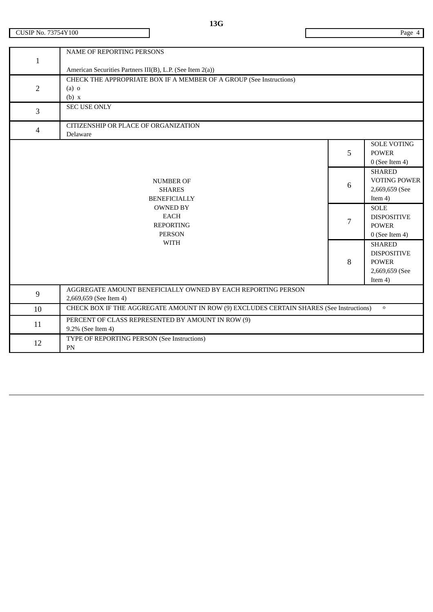| $\mathbf{1}$   | NAME OF REPORTING PERSONS<br>American Securities Partners III(B), L.P. (See Item 2(a))  |                                                                                                           |                                                                                     |
|----------------|-----------------------------------------------------------------------------------------|-----------------------------------------------------------------------------------------------------------|-------------------------------------------------------------------------------------|
| $\overline{2}$ | CHECK THE APPROPRIATE BOX IF A MEMBER OF A GROUP (See Instructions)<br>$(a)$ o<br>(b) x |                                                                                                           |                                                                                     |
| 3              | <b>SEC USE ONLY</b>                                                                     |                                                                                                           |                                                                                     |
| $\overline{4}$ | CITIZENSHIP OR PLACE OF ORGANIZATION<br>Delaware                                        |                                                                                                           |                                                                                     |
|                |                                                                                         | 5                                                                                                         | <b>SOLE VOTING</b><br><b>POWER</b><br>$0$ (See Item 4)                              |
|                | <b>NUMBER OF</b><br><b>SHARES</b><br><b>BENEFICIALLY</b>                                | $6\phantom{1}6$                                                                                           | <b>SHARED</b><br><b>VOTING POWER</b><br>2,669,659 (See<br>Item 4)                   |
|                | <b>OWNED BY</b><br><b>EACH</b><br><b>REPORTING</b><br><b>PERSON</b>                     | 7                                                                                                         | <b>SOLE</b><br><b>DISPOSITIVE</b><br><b>POWER</b><br>$0$ (See Item 4)               |
|                | <b>WITH</b>                                                                             | 8                                                                                                         | <b>SHARED</b><br><b>DISPOSITIVE</b><br><b>POWER</b><br>2,669,659 (See<br>Item $4$ ) |
| 9              | AGGREGATE AMOUNT BENEFICIALLY OWNED BY EACH REPORTING PERSON<br>2,669,659 (See Item 4)  |                                                                                                           |                                                                                     |
| 10             |                                                                                         | CHECK BOX IF THE AGGREGATE AMOUNT IN ROW (9) EXCLUDES CERTAIN SHARES (See Instructions)<br>$\mathsf{o}\,$ |                                                                                     |
| 11             | PERCENT OF CLASS REPRESENTED BY AMOUNT IN ROW (9)<br>9.2% (See Item 4)                  |                                                                                                           |                                                                                     |
| 12             | TYPE OF REPORTING PERSON (See Instructions)<br>PN                                       |                                                                                                           |                                                                                     |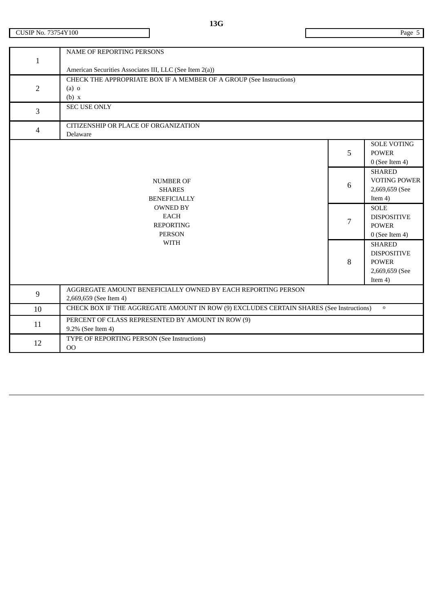| 1              | <b>NAME OF REPORTING PERSONS</b><br>American Securities Associates III, LLC (See Item 2(a))            |   |                                      |
|----------------|--------------------------------------------------------------------------------------------------------|---|--------------------------------------|
|                |                                                                                                        |   |                                      |
| $\overline{2}$ | CHECK THE APPROPRIATE BOX IF A MEMBER OF A GROUP (See Instructions)<br>$(a)$ o                         |   |                                      |
|                | (b) x                                                                                                  |   |                                      |
|                | <b>SEC USE ONLY</b>                                                                                    |   |                                      |
| 3              |                                                                                                        |   |                                      |
| 4              | CITIZENSHIP OR PLACE OF ORGANIZATION                                                                   |   |                                      |
|                | Delaware                                                                                               |   |                                      |
|                |                                                                                                        |   | <b>SOLE VOTING</b>                   |
|                |                                                                                                        | 5 | <b>POWER</b>                         |
|                |                                                                                                        |   | $0$ (See Item 4)                     |
|                |                                                                                                        |   | <b>SHARED</b><br><b>VOTING POWER</b> |
|                | <b>NUMBER OF</b><br><b>SHARES</b>                                                                      | 6 | 2,669,659 (See                       |
|                | <b>BENEFICIALLY</b>                                                                                    |   | Item $4$ )                           |
|                | <b>OWNED BY</b>                                                                                        |   | <b>SOLE</b>                          |
|                | <b>EACH</b>                                                                                            |   | <b>DISPOSITIVE</b>                   |
|                | <b>REPORTING</b>                                                                                       | 7 | <b>POWER</b>                         |
|                | <b>PERSON</b>                                                                                          |   | $0$ (See Item 4)                     |
|                | <b>WITH</b>                                                                                            |   | <b>SHARED</b>                        |
|                |                                                                                                        | 8 | <b>DISPOSITIVE</b>                   |
|                |                                                                                                        |   | <b>POWER</b>                         |
|                |                                                                                                        |   | 2,669,659 (See                       |
|                |                                                                                                        |   | Item $4$ )                           |
| $\overline{9}$ | AGGREGATE AMOUNT BENEFICIALLY OWNED BY EACH REPORTING PERSON<br>2,669,659 (See Item 4)                 |   |                                      |
| 10             | CHECK BOX IF THE AGGREGATE AMOUNT IN ROW (9) EXCLUDES CERTAIN SHARES (See Instructions)<br>$\mathbf 0$ |   |                                      |
| 11             | PERCENT OF CLASS REPRESENTED BY AMOUNT IN ROW (9)                                                      |   |                                      |
|                | 9.2% (See Item 4)                                                                                      |   |                                      |
| 12             | TYPE OF REPORTING PERSON (See Instructions)                                                            |   |                                      |
|                | 00                                                                                                     |   |                                      |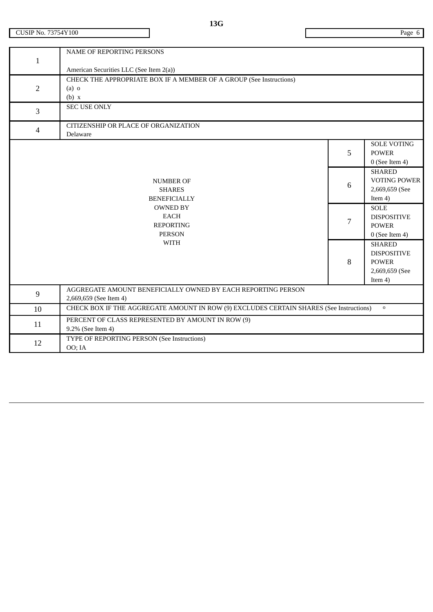|                | <b>NAME OF REPORTING PERSONS</b>                                                        |   |                     |  |
|----------------|-----------------------------------------------------------------------------------------|---|---------------------|--|
| $\mathbf{1}$   |                                                                                         |   |                     |  |
|                | American Securities LLC (See Item 2(a))                                                 |   |                     |  |
|                | CHECK THE APPROPRIATE BOX IF A MEMBER OF A GROUP (See Instructions)                     |   |                     |  |
| $\overline{2}$ | $(a)$ o                                                                                 |   |                     |  |
|                | (b) x                                                                                   |   |                     |  |
| 3              | <b>SEC USE ONLY</b>                                                                     |   |                     |  |
|                |                                                                                         |   |                     |  |
| $\overline{4}$ | CITIZENSHIP OR PLACE OF ORGANIZATION                                                    |   |                     |  |
|                | Delaware                                                                                |   |                     |  |
|                |                                                                                         |   | <b>SOLE VOTING</b>  |  |
|                |                                                                                         | 5 | <b>POWER</b>        |  |
|                |                                                                                         |   | $0$ (See Item 4)    |  |
|                |                                                                                         |   | <b>SHARED</b>       |  |
|                | <b>NUMBER OF</b>                                                                        | 6 | <b>VOTING POWER</b> |  |
|                | <b>SHARES</b>                                                                           |   | 2,669,659 (See      |  |
|                | <b>BENEFICIALLY</b>                                                                     |   | Item 4)             |  |
|                | <b>OWNED BY</b>                                                                         |   | <b>SOLE</b>         |  |
|                | <b>EACH</b>                                                                             | 7 | <b>DISPOSITIVE</b>  |  |
|                | <b>REPORTING</b>                                                                        |   | <b>POWER</b>        |  |
|                | <b>PERSON</b>                                                                           |   | $0$ (See Item 4)    |  |
|                | <b>WITH</b>                                                                             |   | <b>SHARED</b>       |  |
|                |                                                                                         | 8 | <b>DISPOSITIVE</b>  |  |
|                |                                                                                         |   | <b>POWER</b>        |  |
|                |                                                                                         |   | 2,669,659 (See      |  |
|                |                                                                                         |   | Item $4$ )          |  |
| 9              | AGGREGATE AMOUNT BENEFICIALLY OWNED BY EACH REPORTING PERSON                            |   |                     |  |
|                | 2,669,659 (See Item 4)                                                                  |   |                     |  |
| 10             | CHECK BOX IF THE AGGREGATE AMOUNT IN ROW (9) EXCLUDES CERTAIN SHARES (See Instructions) |   | $\mathbf 0$         |  |
| 11             | PERCENT OF CLASS REPRESENTED BY AMOUNT IN ROW (9)                                       |   |                     |  |
|                | 9.2% (See Item 4)                                                                       |   |                     |  |
| 12             | TYPE OF REPORTING PERSON (See Instructions)                                             |   |                     |  |
|                | OO; IA                                                                                  |   |                     |  |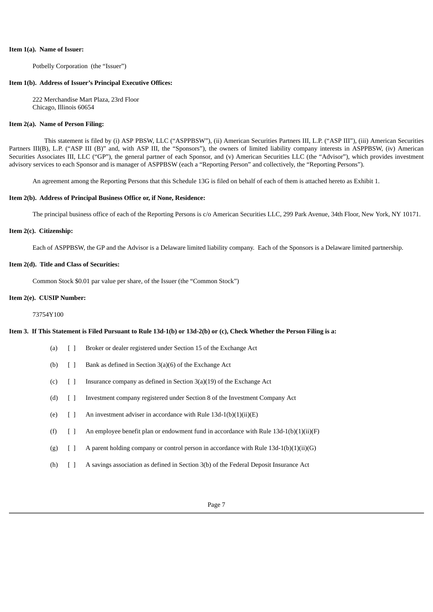#### **Item 1(a). Name of Issuer:**

Potbelly Corporation (the "Issuer")

#### **Item 1(b). Address of Issuer's Principal Executive Offices:**

222 Merchandise Mart Plaza, 23rd Floor Chicago, Illinois 60654

#### **Item 2(a). Name of Person Filing:**

This statement is filed by (i) ASP PBSW, LLC ("ASPPBSW"), (ii) American Securities Partners III, L.P. ("ASP III"), (iii) American Securities Partners III(B), L.P. ("ASP III (B)" and, with ASP III, the "Sponsors"), the owners of limited liability company interests in ASPPBSW, (iv) American Securities Associates III, LLC ("GP"), the general partner of each Sponsor, and (v) American Securities LLC (the "Advisor"), which provides investment advisory services to each Sponsor and is manager of ASPPBSW (each a "Reporting Person" and collectively, the "Reporting Persons").

An agreement among the Reporting Persons that this Schedule 13G is filed on behalf of each of them is attached hereto as Exhibit 1.

#### **Item 2(b). Address of Principal Business Office or, if None, Residence:**

The principal business office of each of the Reporting Persons is c/o American Securities LLC, 299 Park Avenue, 34th Floor, New York, NY 10171.

#### **Item 2(c). Citizenship:**

Each of ASPPBSW, the GP and the Advisor is a Delaware limited liability company. Each of the Sponsors is a Delaware limited partnership.

#### **Item 2(d). Title and Class of Securities:**

Common Stock \$0.01 par value per share, of the Issuer (the "Common Stock")

#### **Item 2(e). CUSIP Number:**

73754Y100

## Item 3. If This Statement is Filed Pursuant to Rule 13d-1(b) or 13d-2(b) or (c), Check Whether the Person Filing is a:

- (a) [ ] Broker or dealer registered under Section 15 of the Exchange Act
- (b)  $\begin{bmatrix} \end{bmatrix}$  Bank as defined in Section 3(a)(6) of the Exchange Act
- (c)  $\begin{bmatrix} \end{bmatrix}$  Insurance company as defined in Section 3(a)(19) of the Exchange Act
- (d) [ ] Investment company registered under Section 8 of the Investment Company Act
- (e)  $[ ]$  An investment adviser in accordance with Rule 13d-1(b)(1)(ii)(E)
- (f)  $\left[ \right]$  An employee benefit plan or endowment fund in accordance with Rule 13d-1(b)(1)(ii)(F)
- (g)  $\begin{bmatrix} \end{bmatrix}$  A parent holding company or control person in accordance with Rule 13d-1(b)(1)(ii)(G)
- (h) [ ] A savings association as defined in Section 3(b) of the Federal Deposit Insurance Act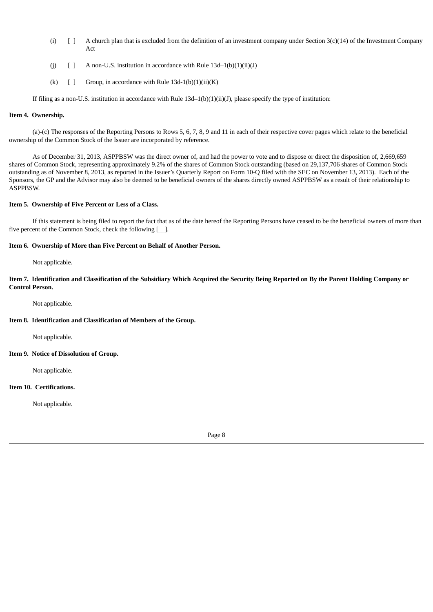- (i)  $\left[ \right]$  A church plan that is excluded from the definition of an investment company under Section 3(c)(14) of the Investment Company Act
- (j)  $[ ]$  A non-U.S. institution in accordance with Rule 13d–1(b)(1)(ii)(J)
- (k)  $[ ]$  Group, in accordance with Rule 13d-1(b)(1)(ii)(K)

If filing as a non-U.S. institution in accordance with Rule 13d–1(b)(1)(ii)(J), please specify the type of institution:

## **Item 4. Ownership.**

(a)-(c) The responses of the Reporting Persons to Rows 5, 6, 7, 8, 9 and 11 in each of their respective cover pages which relate to the beneficial ownership of the Common Stock of the Issuer are incorporated by reference.

As of December 31, 2013, ASPPBSW was the direct owner of, and had the power to vote and to dispose or direct the disposition of, 2,669,659 shares of Common Stock, representing approximately 9.2% of the shares of Common Stock outstanding (based on 29,137,706 shares of Common Stock outstanding as of November 8, 2013, as reported in the Issuer's Quarterly Report on Form 10-Q filed with the SEC on November 13, 2013). Each of the Sponsors, the GP and the Advisor may also be deemed to be beneficial owners of the shares directly owned ASPPBSW as a result of their relationship to ASPPBSW.

#### **Item 5. Ownership of Five Percent or Less of a Class.**

If this statement is being filed to report the fact that as of the date hereof the Reporting Persons have ceased to be the beneficial owners of more than five percent of the Common Stock, check the following [\_\_].

#### **Item 6. Ownership of More than Five Percent on Behalf of Another Person.**

Not applicable.

Item 7. Identification and Classification of the Subsidiary Which Acquired the Security Being Reported on By the Parent Holding Company or **Control Person.**

Not applicable.

### **Item 8. Identification and Classification of Members of the Group.**

Not applicable.

### **Item 9. Notice of Dissolution of Group.**

Not applicable.

#### **Item 10. Certifications.**

Not applicable.

Page 8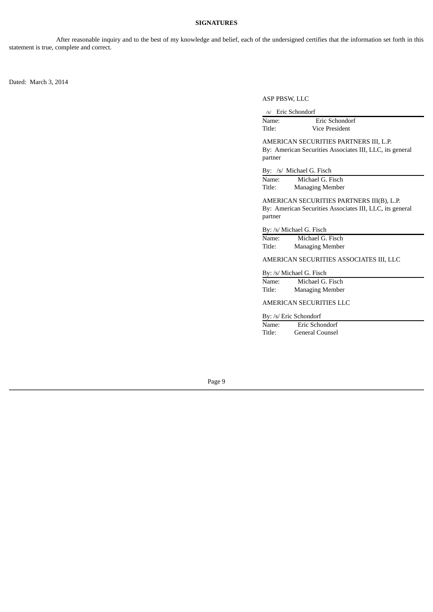### **SIGNATURES**

After reasonable inquiry and to the best of my knowledge and belief, each of the undersigned certifies that the information set forth in this statement is true, complete and correct.

Dated: March 3, 2014

ASP PBSW, LLC

/s/ Eric Schondorf

| Name:  | Eric Schondorf |  |
|--------|----------------|--|
| Title: | Vice President |  |

AMERICAN SECURITIES PARTNERS III, L.P. By: American Securities Associates III, LLC, its general partner

By: /s/ Michael G. Fisch

Name: Michael G. Fisch Title: Managing Member

AMERICAN SECURITIES PARTNERS III(B), L.P. By: American Securities Associates III, LLC, its general partner

#### By: /s/ Michael G. Fisch

Name: Michael G. Fisch Title: Managing Member

AMERICAN SECURITIES ASSOCIATES III, LLC

#### By: /s/ Michael G. Fisch

| Name:  | Michael G. Fisch       |
|--------|------------------------|
| Title: | <b>Managing Member</b> |

## AMERICAN SECURITIES LLC

By: /s/ Eric Schondorf

| Name:  | Eric Schondorf  |  |
|--------|-----------------|--|
| Title: | General Counsel |  |

Page 9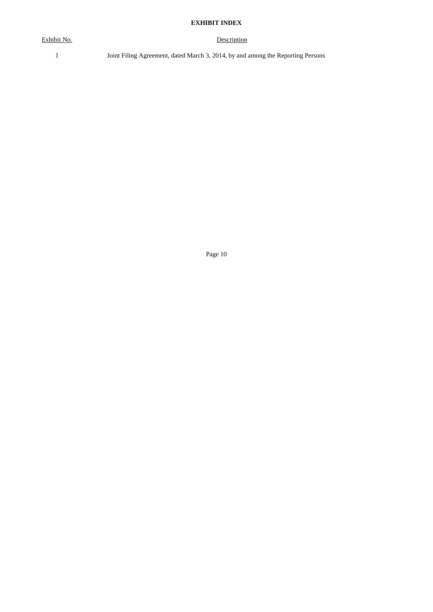# **EXHIBIT INDEX**

Exhibit No. Description

1 Joint Filing Agreement, dated March 3, 2014, by and among the Reporting Persons

Page 10